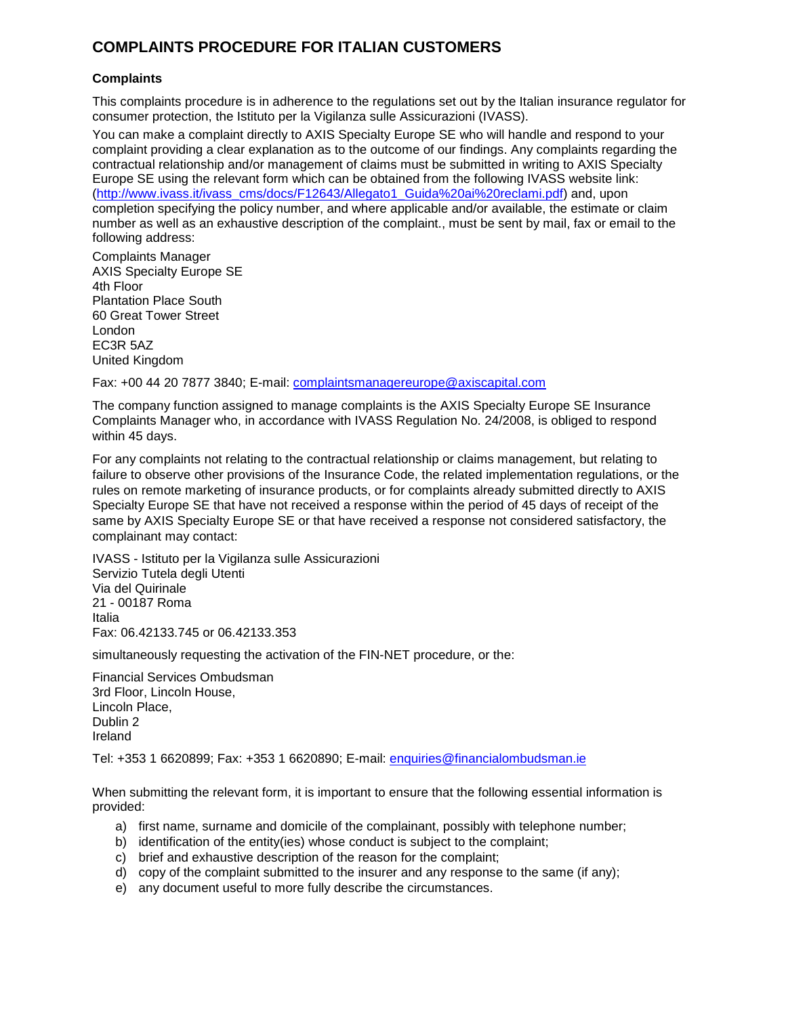## **COMPLAINTS PROCEDURE FOR ITALIAN CUSTOMERS**

## **Complaints**

This complaints procedure is in adherence to the regulations set out by the Italian insurance regulator for consumer protection, the Istituto per la Vigilanza sulle Assicurazioni (IVASS).

You can make a complaint directly to AXIS Specialty Europe SE who will handle and respond to your complaint providing a clear explanation as to the outcome of our findings. Any complaints regarding the contractual relationship and/or management of claims must be submitted in writing to AXIS Specialty Europe SE using the relevant form which can be obtained from the following IVASS website link: [\(http://www.ivass.it/ivass\\_cms/docs/F12643/Allegato1\\_Guida%20ai%20reclami.pdf\)](http://www.ivass.it/ivass_cms/docs/F12643/Allegato1_Guida%20ai%20reclami.pdf) and, upon completion specifying the policy number, and where applicable and/or available, the estimate or claim number as well as an exhaustive description of the complaint., must be sent by mail, fax or email to the following address:

Complaints Manager AXIS Specialty Europe SE 4th Floor Plantation Place South 60 Great Tower Street London EC3R 5AZ United Kingdom

Fax: +00 44 20 7877 3840; E-mail: [complaintsmanagereurope@axiscapital.com](mailto:complaintsmanagereurope@axiscapital.com)

The company function assigned to manage complaints is the AXIS Specialty Europe SE Insurance Complaints Manager who, in accordance with IVASS Regulation No. 24/2008, is obliged to respond within 45 days.

For any complaints not relating to the contractual relationship or claims management, but relating to failure to observe other provisions of the Insurance Code, the related implementation regulations, or the rules on remote marketing of insurance products, or for complaints already submitted directly to AXIS Specialty Europe SE that have not received a response within the period of 45 days of receipt of the same by AXIS Specialty Europe SE or that have received a response not considered satisfactory, the complainant may contact:

IVASS - Istituto per la Vigilanza sulle Assicurazioni Servizio Tutela degli Utenti Via del Quirinale 21 - 00187 Roma Italia Fax: 06.42133.745 or 06.42133.353

simultaneously requesting the activation of the FIN-NET procedure, or the:

Financial Services Ombudsman 3rd Floor, Lincoln House, Lincoln Place, Dublin 2 Ireland

Tel: +353 1 6620899; Fax: +353 1 6620890; E-mail: [enquiries@financialombudsman.ie](mailto:enquiries@financialombudsman.ie)

When submitting the relevant form, it is important to ensure that the following essential information is provided:

- a) first name, surname and domicile of the complainant, possibly with telephone number;
- b) identification of the entity(ies) whose conduct is subject to the complaint;
- c) brief and exhaustive description of the reason for the complaint;
- d) copy of the complaint submitted to the insurer and any response to the same (if any);
- e) any document useful to more fully describe the circumstances.